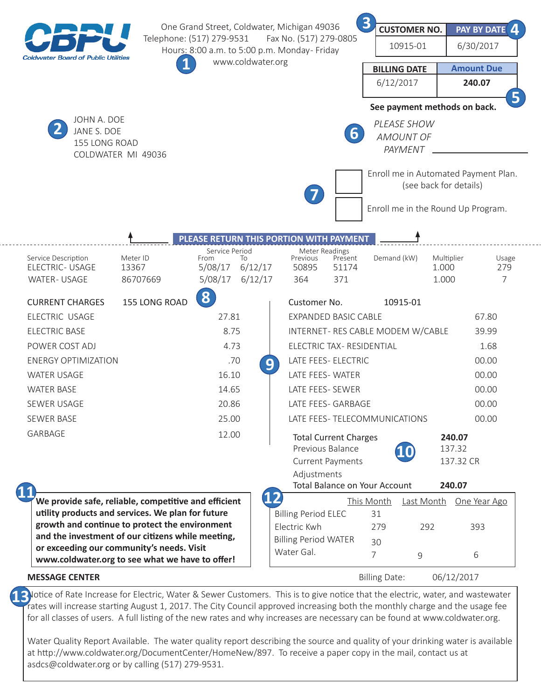| <b>Coldwater Board of Public Utilities</b>                                                                                                                                                                                                                                                                                                |                               | One Grand Street, Coldwater, Michigan 49036<br>Telephone: (517) 279-9531<br>Fax No. (517) 279-0805<br>Hours: 8:00 a.m. to 5:00 p.m. Monday- Friday<br>www.coldwater.org |               |                                                                                                                                                                                                                                         | $\overline{\mathbf{3}}$<br>6/12/2017                                                            | <b>CUSTOMER NO.</b><br>10915-01<br><b>BILLING DATE</b>                  | PAY BY DATE 4<br>6/30/2017<br><b>Amount Due</b><br>240.07<br>5 |                                         |                                                                     |  |
|-------------------------------------------------------------------------------------------------------------------------------------------------------------------------------------------------------------------------------------------------------------------------------------------------------------------------------------------|-------------------------------|-------------------------------------------------------------------------------------------------------------------------------------------------------------------------|---------------|-----------------------------------------------------------------------------------------------------------------------------------------------------------------------------------------------------------------------------------------|-------------------------------------------------------------------------------------------------|-------------------------------------------------------------------------|----------------------------------------------------------------|-----------------------------------------|---------------------------------------------------------------------|--|
| JOHN A. DOE<br>JANE S. DOE<br>155 LONG ROAD<br>COLDWATER MI 49036                                                                                                                                                                                                                                                                         |                               |                                                                                                                                                                         |               | See payment methods on back.<br>PLEASE SHOW<br>$\mathbf b$<br><b>AMOUNT OF</b><br>PAYMENT<br>Enroll me in Automated Payment Plan.                                                                                                       |                                                                                                 |                                                                         |                                                                |                                         |                                                                     |  |
|                                                                                                                                                                                                                                                                                                                                           |                               | PLEASE RETURN THIS PORTION WITH PAYMENT                                                                                                                                 |               | 7                                                                                                                                                                                                                                       |                                                                                                 |                                                                         | (see back for details)<br>Enroll me in the Round Up Program.   |                                         |                                                                     |  |
| Service Description<br><b>ELECTRIC- USAGE</b><br><b>WATER-USAGE</b>                                                                                                                                                                                                                                                                       | Meter ID<br>13367<br>86707669 | Service Period<br>From<br>To<br>6/12/17<br>5/08/17<br>5/08/17                                                                                                           | 6/12/17       | Meter Readings<br>Previous<br>50895<br>364                                                                                                                                                                                              | Present<br>51174<br>371                                                                         | Demand (kW)                                                             | 1.000                                                          | Multiplier<br>1.000                     | Usage<br>279<br>$\overline{7}$                                      |  |
| <b>CURRENT CHARGES</b><br>ELECTRIC USAGE<br><b>ELECTRIC BASE</b><br>POWER COST ADJ<br><b>ENERGY OPTIMIZATION</b><br><b>WATER USAGE</b><br><b>WATER BASE</b><br>SEWER USAGE<br><b>SEWER BASE</b><br>GARBAGE<br>6                                                                                                                           | 155 LONG ROAD                 | 8<br>27.81<br>8.75<br>4.73<br>.70<br>16.10<br>14.65<br>20.86<br>25.00<br>12.00                                                                                          | 9             | Customer No.<br><b>EXPANDED BASIC CABLE</b><br>ELECTRIC TAX- RESIDENTIAL<br>LATE FEES- ELECTRIC<br>LATE FEES-WATER<br>LATE FEES- SEWER<br><b>LATE FFFS- GARBAGE</b><br>LATE FEES- TELECOMMUNICATIONS<br>Previous Balance<br>Adjustments | <b>Total Current Charges</b><br><b>Current Payments</b><br><b>Total Balance on Your Account</b> |                                                                         | 10915-01<br>INTERNET- RES CABLE MODEM W/CABLE<br>10            | 240.07<br>137.32<br>137.32 CR<br>240.07 | 67.80<br>39.99<br>1.68<br>00.00<br>00.00<br>00.00<br>00.00<br>00.00 |  |
| We provide safe, reliable, competitive and efficient<br>utility products and services. We plan for future<br>growth and continue to protect the environment<br>and the investment of our citizens while meeting,<br>or exceeding our community's needs. Visit<br>www.coldwater.org to see what we have to offer!<br><b>MESSAGE CENTER</b> |                               |                                                                                                                                                                         | $\mathbf{12}$ | <b>Billing Period ELEC</b><br>Electric Kwh<br><b>Billing Period WATER</b><br>Water Gal.                                                                                                                                                 |                                                                                                 | This Month<br>31<br>279<br>30<br>$\overline{7}$<br><b>Billing Date:</b> | Last Month One Year Ago<br>292<br>9                            | 393<br>6<br>06/12/2017                  |                                                                     |  |

13 lotice of Rate Increase for Electric, Water & Sewer Customers. This is to give notice that the electric, water, and wastewater and the user for the monthly charge and the users for rates will increase starting August 1, 2017. The City Council approved increasing both the monthly charge and the usage fee for all classes of users. A full listing of the new rates and why increases are necessary can be found at www.coldwater.org.

Water Quality Report Available. The water quality report describing the source and quality of your drinking water is available at http://www.coldwater.org/DocumentCenter/HomeNew/897. To receive a paper copy in the mail, contact us at asdcs@coldwater.org or by calling (517) 279-9531.